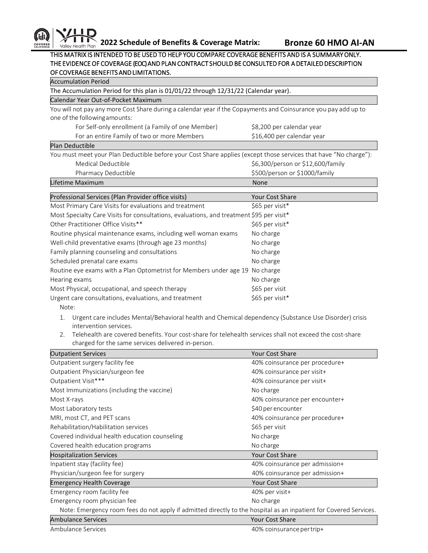

## THIS MATRIX IS INTENDED TO BE USED TO HELP YOU COMPARE COVERAGE BENEFITS AND IS A SUMMARY ONLY. THE EVIDENCE OF COVERAGE (EOC) AND PLAN CONTRACT SHOULD BE CONSULTED FOR A DETAILED DESCRIPTION OF COVERAGE BENEFITS AND LIMITATIONS.

| <b>Accumulation Period</b>                                                                                        |                                   |  |  |
|-------------------------------------------------------------------------------------------------------------------|-----------------------------------|--|--|
| The Accumulation Period for this plan is 01/01/22 through 12/31/22 (Calendar year).                               |                                   |  |  |
| Calendar Year Out-of-Pocket Maximum                                                                               |                                   |  |  |
| You will not pay any more Cost Share during a calendar year if the Copayments and Coinsurance you pay add up to   |                                   |  |  |
| one of the following amounts:                                                                                     |                                   |  |  |
| For Self-only enrollment (a Family of one Member)                                                                 | \$8,200 per calendar year         |  |  |
| For an entire Family of two or more Members                                                                       | \$16,400 per calendar year        |  |  |
| Plan Deductible                                                                                                   |                                   |  |  |
| You must meet your Plan Deductible before your Cost Share applies (except those services that have "No charge"):  |                                   |  |  |
| Medical Deductible                                                                                                | \$6,300/person or \$12,600/family |  |  |
| Pharmacy Deductible                                                                                               | \$500/person or \$1000/family     |  |  |
| Lifetime Maximum                                                                                                  | None                              |  |  |
|                                                                                                                   |                                   |  |  |
| Professional Services (Plan Provider office visits)                                                               | Your Cost Share                   |  |  |
| Most Primary Care Visits for evaluations and treatment                                                            | \$65 per visit*                   |  |  |
| Most Specialty Care Visits for consultations, evaluations, and treatment \$95 per visit*                          |                                   |  |  |
| Other Practitioner Office Visits**                                                                                | \$65 per visit*                   |  |  |
| Routine physical maintenance exams, including well woman exams                                                    | No charge                         |  |  |
| Well-child preventative exams (through age 23 months)                                                             | No charge                         |  |  |
| Family planning counseling and consultations                                                                      | No charge                         |  |  |
| Scheduled prenatal care exams                                                                                     | No charge                         |  |  |
| Routine eye exams with a Plan Optometrist for Members under age 19 No charge                                      |                                   |  |  |
| Hearing exams                                                                                                     | No charge                         |  |  |
| Most Physical, occupational, and speech therapy                                                                   | \$65 per visit                    |  |  |
| Urgent care consultations, evaluations, and treatment                                                             | \$65 per visit*                   |  |  |
| Note:                                                                                                             |                                   |  |  |
| Urgent care includes Mental/Behavioral health and Chemical dependency (Substance Use Disorder) crisis<br>1.       |                                   |  |  |
| intervention services.                                                                                            |                                   |  |  |
| Telehealth are covered benefits. Your cost-share for telehealth services shall not exceed the cost-share<br>2.    |                                   |  |  |
| charged for the same services delivered in-person.                                                                |                                   |  |  |
| <b>Outpatient Services</b>                                                                                        | Your Cost Share                   |  |  |
| Outpatient surgery facility fee                                                                                   | 40% coinsurance per procedure+    |  |  |
| Outpatient Physician/surgeon fee                                                                                  | 40% coinsurance per visit+        |  |  |
| Outpatient Visit***                                                                                               | 40% coinsurance per visit+        |  |  |
| Most Immunizations (including the vaccine)                                                                        | No charge                         |  |  |
| Most X-rays                                                                                                       | 40% coinsurance per encounter+    |  |  |
| Most Laboratory tests                                                                                             | \$40 per encounter                |  |  |
| MRI, most CT, and PET scans                                                                                       | 40% coinsurance per procedure+    |  |  |
| Rehabilitation/Habilitation services                                                                              | \$65 per visit                    |  |  |
| Covered individual health education counseling                                                                    | No charge                         |  |  |
| Covered health education programs                                                                                 | No charge                         |  |  |
| <b>Hospitalization Services</b>                                                                                   | Your Cost Share                   |  |  |
| Inpatient stay (facility fee)                                                                                     | 40% coinsurance per admission+    |  |  |
| Physician/surgeon fee for surgery                                                                                 | 40% coinsurance per admission+    |  |  |
| <b>Emergency Health Coverage</b>                                                                                  | Your Cost Share                   |  |  |
| Emergency room facility fee                                                                                       | 40% per visit+                    |  |  |
|                                                                                                                   |                                   |  |  |
| Emergency room physician fee                                                                                      | No charge                         |  |  |
| Note: Emergency room fees do not apply if admitted directly to the hospital as an inpatient for Covered Services. |                                   |  |  |
| <b>Ambulance Services</b>                                                                                         | Your Cost Share                   |  |  |
| Ambulance Services                                                                                                | 40% coinsurance per trip+         |  |  |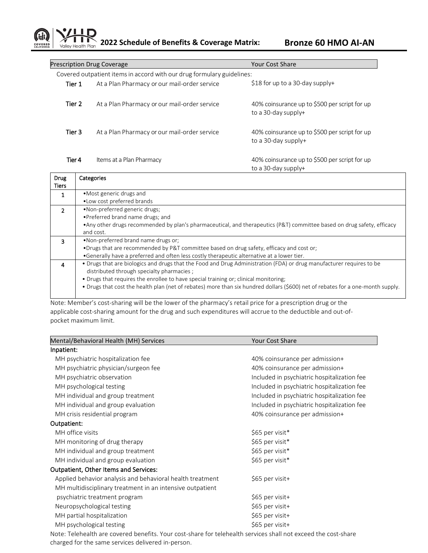**2022 Schedule of Benefits & Coverage Matrix: Bronze 60 HMO AI-AN** Valley Health Plan

| <b>Prescription Drug Coverage</b>                                      |                                              | <b>Your Cost Share</b>                                               |  |  |
|------------------------------------------------------------------------|----------------------------------------------|----------------------------------------------------------------------|--|--|
| Covered outpatient items in accord with our drug formulary guidelines: |                                              |                                                                      |  |  |
| Tier 1                                                                 | At a Plan Pharmacy or our mail-order service | \$18 for up to a 30-day supply+                                      |  |  |
| Tier 2                                                                 | At a Plan Pharmacy or our mail-order service | 40% coinsurance up to \$500 per script for up<br>to a 30-day supply+ |  |  |
| Tier 3                                                                 | At a Plan Pharmacy or our mail-order service | 40% coinsurance up to \$500 per script for up<br>to a 30-day supply+ |  |  |
| Tier 4                                                                 | Items at a Plan Pharmacy                     | 40% coinsurance up to \$500 per script for up<br>to a 30-day supply+ |  |  |

| <b>Drug</b>   | Categories                                                                                                                      |
|---------------|---------------------------------------------------------------------------------------------------------------------------------|
| Tiers         |                                                                                                                                 |
| 1             | •Most generic drugs and                                                                                                         |
|               | • Low cost preferred brands                                                                                                     |
| $\mathcal{P}$ | •Non-preferred generic drugs;                                                                                                   |
|               | • Preferred brand name drugs; and                                                                                               |
|               | • Any other drugs recommended by plan's pharmaceutical, and therapeutics (P&T) committee based on drug safety, efficacy         |
|               | and cost.                                                                                                                       |
| 3             | •Non-preferred brand name drugs or:                                                                                             |
|               | •Drugs that are recommended by P&T committee based on drug safety, efficacy and cost or;                                        |
|               | •Generally have a preferred and often less costly therapeutic alternative at a lower tier.                                      |
| 4             | • Drugs that are biologics and drugs that the Food and Drug Administration (FDA) or drug manufacturer requires to be            |
|               | distributed through specialty pharmacies;                                                                                       |
|               | • Drugs that requires the enrollee to have special training or; clinical monitoring;                                            |
|               | • Drugs that cost the health plan (net of rebates) more than six hundred dollars (\$600) net of rebates for a one-month supply. |
|               |                                                                                                                                 |

Note: Member's cost-sharing will be the lower of the pharmacy's retail price for a prescription drug or the applicable cost-sharing amount for the drug and such expenditures will accrue to the deductible and out-ofpocket maximum limit.

| Mental/Behavioral Health (MH) Services                    | <b>Your Cost Share</b>                      |
|-----------------------------------------------------------|---------------------------------------------|
| Inpatient:                                                |                                             |
| MH psychiatric hospitalization fee                        | 40% coinsurance per admission+              |
| MH psychiatric physician/surgeon fee                      | 40% coinsurance per admission+              |
| MH psychiatric observation                                | Included in psychiatric hospitalization fee |
| MH psychological testing                                  | Included in psychiatric hospitalization fee |
| MH individual and group treatment                         | Included in psychiatric hospitalization fee |
| MH individual and group evaluation                        | Included in psychiatric hospitalization fee |
| MH crisis residential program                             | 40% coinsurance per admission+              |
| Outpatient:                                               |                                             |
| MH office visits                                          | \$65 per visit*                             |
| MH monitoring of drug therapy                             | \$65 per visit*                             |
| MH individual and group treatment                         | \$65 per visit*                             |
| MH individual and group evaluation                        | \$65 per visit*                             |
| Outpatient, Other Items and Services:                     |                                             |
| Applied behavior analysis and behavioral health treatment | \$65 per visit+                             |
| MH multidisciplinary treatment in an intensive outpatient |                                             |
| psychiatric treatment program                             | \$65 per visit+                             |
| Neuropsychological testing                                | \$65 per visit+                             |
| MH partial hospitalization                                | \$65 per visit+                             |
| MH psychological testing                                  | \$65 per visit+                             |
|                                                           |                                             |

Note: Telehealth are covered benefits. Your cost-share for telehealth services shall not exceed the cost-share charged for the same services delivered in-person.